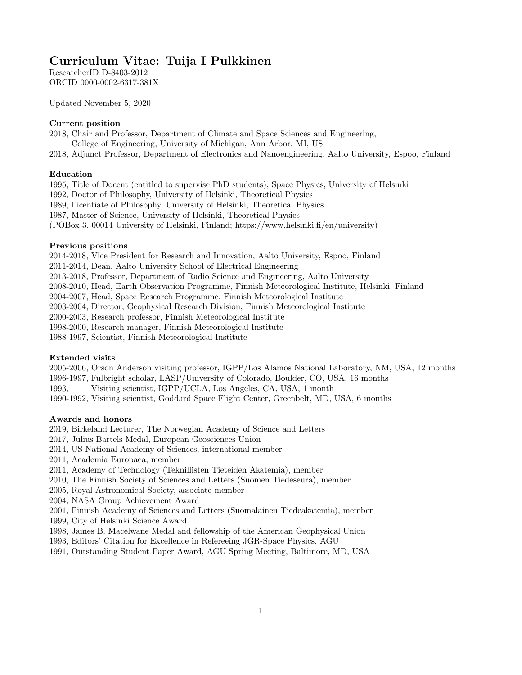# Curriculum Vitae: Tuija I Pulkkinen

ResearcherID D-8403-2012 ORCID 0000-0002-6317-381X

Updated November 5, 2020

## Current position

2018, Chair and Professor, Department of Climate and Space Sciences and Engineering, College of Engineering, University of Michigan, Ann Arbor, MI, US

2018, Adjunct Professor, Department of Electronics and Nanoengineering, Aalto University, Espoo, Finland

### Education

1995, Title of Docent (entitled to supervise PhD students), Space Physics, University of Helsinki

1992, Doctor of Philosophy, University of Helsinki, Theoretical Physics

1989, Licentiate of Philosophy, University of Helsinki, Theoretical Physics

1987, Master of Science, University of Helsinki, Theoretical Physics

(POBox 3, 00014 University of Helsinki, Finland; https://www.helsinki.fi/en/university)

### Previous positions

2014-2018, Vice President for Research and Innovation, Aalto University, Espoo, Finland

2011-2014, Dean, Aalto University School of Electrical Engineering

2013-2018, Professor, Department of Radio Science and Engineering, Aalto University

2008-2010, Head, Earth Observation Programme, Finnish Meteorological Institute, Helsinki, Finland

2004-2007, Head, Space Research Programme, Finnish Meteorological Institute

2003-2004, Director, Geophysical Research Division, Finnish Meteorological Institute

2000-2003, Research professor, Finnish Meteorological Institute

1998-2000, Research manager, Finnish Meteorological Institute

1988-1997, Scientist, Finnish Meteorological Institute

## Extended visits

2005-2006, Orson Anderson visiting professor, IGPP/Los Alamos National Laboratory, NM, USA, 12 months

1996-1997, Fulbright scholar, LASP/University of Colorado, Boulder, CO, USA, 16 months

1993, Visiting scientist, IGPP/UCLA, Los Angeles, CA, USA, 1 month

1990-1992, Visiting scientist, Goddard Space Flight Center, Greenbelt, MD, USA, 6 months

## Awards and honors

2019, Birkeland Lecturer, The Norwegian Academy of Science and Letters

2017, Julius Bartels Medal, European Geosciences Union

2014, US National Academy of Sciences, international member

2011, Academia Europaea, member

2011, Academy of Technology (Teknillisten Tieteiden Akatemia), member

2010, The Finnish Society of Sciences and Letters (Suomen Tiedeseura), member

2005, Royal Astronomical Society, associate member

2004, NASA Group Achievement Award

2001, Finnish Academy of Sciences and Letters (Suomalainen Tiedeakatemia), member

1999, City of Helsinki Science Award

1998, James B. Macelwane Medal and fellowship of the American Geophysical Union

1993, Editors' Citation for Excellence in Refereeing JGR-Space Physics, AGU

1991, Outstanding Student Paper Award, AGU Spring Meeting, Baltimore, MD, USA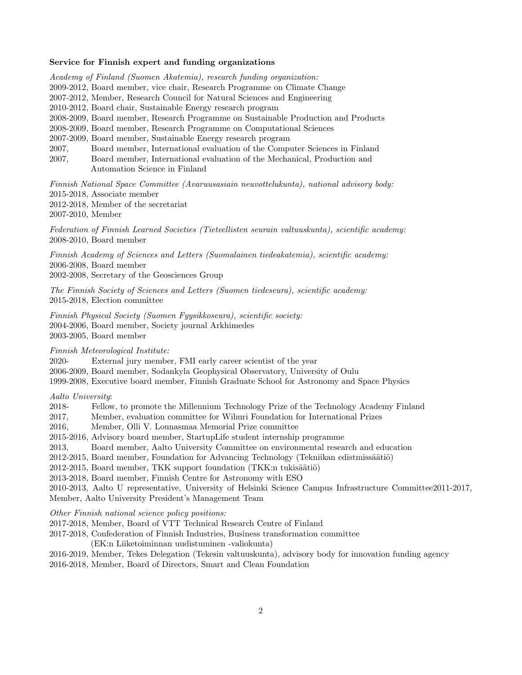#### Service for Finnish expert and funding organizations

Academy of Finland (Suomen Akatemia), research funding organization: 2009-2012, Board member, vice chair, Research Programme on Climate Change 2007-2012, Member, Research Council for Natural Sciences and Engineering 2010-2012, Board chair, Sustainable Energy research program 2008-2009, Board member, Research Programme on Sustainable Production and Products 2008-2009, Board member, Research Programme on Computational Sciences 2007-2009, Board member, Sustainable Energy research program 2007, Board member, International evaluation of the Computer Sciences in Finland 2007, Board member, International evaluation of the Mechanical, Production and Automation Science in Finland Finnish National Space Committee (Avaruusasiain neuvottelukunta), national advisory body:

2015-2018, Associate member 2012-2018, Member of the secretariat 2007-2010, Member

Federation of Finnish Learned Societies (Tieteellisten seurain valtuuskunta), scientific academy: 2008-2010, Board member

Finnish Academy of Sciences and Letters (Suomalainen tiedeakatemia), scientific academy: 2006-2008, Board member 2002-2008, Secretary of the Geosciences Group

The Finnish Society of Sciences and Letters (Suomen tiedeseura), scientific academy: 2015-2018, Election committee

Finnish Physical Society (Suomen Fyysikkoseura), scientific society: 2004-2006, Board member, Society journal Arkhimedes 2003-2005, Board member

Finnish Meteorological Institute:

2020- External jury member, FMI early career scientist of the year

2006-2009, Board member, Sodankyla Geophysical Observatory, University of Oulu

1999-2008, Executive board member, Finnish Graduate School for Astronomy and Space Physics

Aalto University:

2018- Fellow, to promote the Millennium Technology Prize of the Technology Academy Finland

2017, Member, evaluation committee for Wihuri Foundation for International Prizes

2016, Member, Olli V. Lounasmaa Memorial Prize committee

2015-2016, Advisory board member, StartupLife student internship programme

2013, Board member, Aalto University Committee on environmental research and education

2012-2015, Board member, Foundation for Advancing Technology (Tekniikan edistmissäätiö)

2012-2015, Board member, TKK support foundation (TKK:n tukisäätiö)

2013-2018, Board member, Finnish Centre for Astronomy with ESO

2010-2013, Aalto U representative, University of Helsinki Science Campus Infrastructure Committee2011-2017, Member, Aalto University President's Management Team

Other Finnish national science policy positions:

2017-2018, Member, Board of VTT Technical Research Centre of Finland

2017-2018, Confederation of Finnish Industries, Business transformation committee

(EK:n Liiketoiminnan uudistuminen -valiokunta)

2016-2019, Member, Tekes Delegation (Tekesin valtuuskunta), advisory body for innovation funding agency 2016-2018, Member, Board of Directors, Smart and Clean Foundation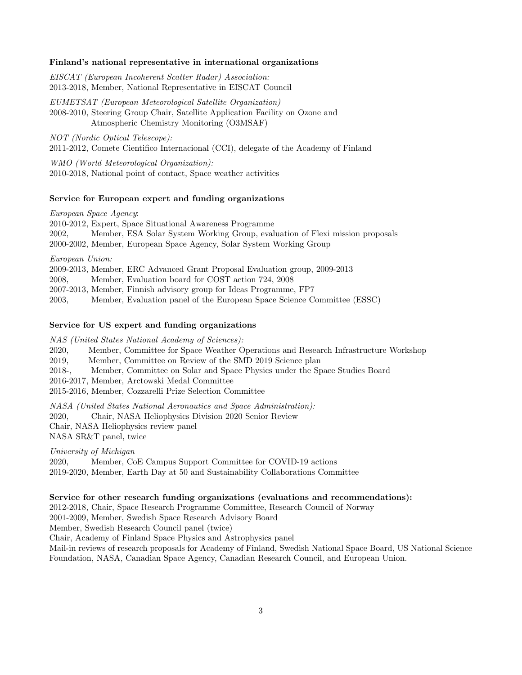#### Finland's national representative in international organizations

EISCAT (European Incoherent Scatter Radar) Association: 2013-2018, Member, National Representative in EISCAT Council

EUMETSAT (European Meteorological Satellite Organization) 2008-2010, Steering Group Chair, Satellite Application Facility on Ozone and Atmospheric Chemistry Monitoring (O3MSAF)

NOT (Nordic Optical Telescope): 2011-2012, Comete Cientifico Internacional (CCI), delegate of the Academy of Finland

WMO (World Meteorological Organization): 2010-2018, National point of contact, Space weather activities

## Service for European expert and funding organizations

European Space Agency: 2010-2012, Expert, Space Situational Awareness Programme 2002, Member, ESA Solar System Working Group, evaluation of Flexi mission proposals 2000-2002, Member, European Space Agency, Solar System Working Group European Union: 2009-2013, Member, ERC Advanced Grant Proposal Evaluation group, 2009-2013 2008, Member, Evaluation board for COST action 724, 2008 2007-2013, Member, Finnish advisory group for Ideas Programme, FP7

## 2003, Member, Evaluation panel of the European Space Science Committee (ESSC)

#### Service for US expert and funding organizations

NAS (United States National Academy of Sciences):

2020, Member, Committee for Space Weather Operations and Research Infrastructure Workshop

2019, Member, Committee on Review of the SMD 2019 Science plan

2018-, Member, Committee on Solar and Space Physics under the Space Studies Board

2016-2017, Member, Arctowski Medal Committee

2015-2016, Member, Cozzarelli Prize Selection Committee

NASA (United States National Aeronautics and Space Administration):

2020, Chair, NASA Heliophysics Division 2020 Senior Review

Chair, NASA Heliophysics review panel

NASA SR&T panel, twice

University of Michigan

2020, Member, CoE Campus Support Committee for COVID-19 actions

2019-2020, Member, Earth Day at 50 and Sustainability Collaborations Committee

#### Service for other research funding organizations (evaluations and recommendations):

2012-2018, Chair, Space Research Programme Committee, Research Council of Norway

2001-2009, Member, Swedish Space Research Advisory Board

Member, Swedish Research Council panel (twice)

Chair, Academy of Finland Space Physics and Astrophysics panel

Mail-in reviews of research proposals for Academy of Finland, Swedish National Space Board, US National Science Foundation, NASA, Canadian Space Agency, Canadian Research Council, and European Union.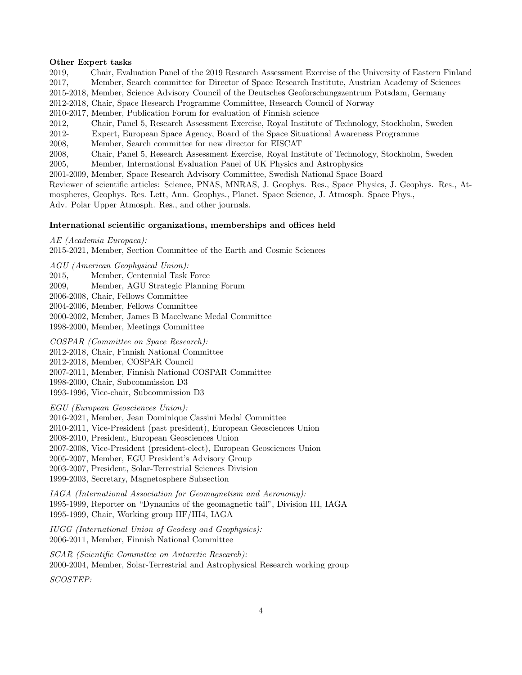#### Other Expert tasks

2019, Chair, Evaluation Panel of the 2019 Research Assessment Exercise of the University of Eastern Finland 2017, Member, Search committee for Director of Space Research Institute, Austrian Academy of Sciences 2015-2018, Member, Science Advisory Council of the Deutsches Geoforschungszentrum Potsdam, Germany 2012-2018, Chair, Space Research Programme Committee, Research Council of Norway 2010-2017, Member, Publication Forum for evaluation of Finnish science 2012, Chair, Panel 5, Research Assessment Exercise, Royal Institute of Technology, Stockholm, Sweden 2012- Expert, European Space Agency, Board of the Space Situational Awareness Programme

2008, Member, Search committee for new director for EISCAT

2008, Chair, Panel 5, Research Assessment Exercise, Royal Institute of Technology, Stockholm, Sweden

2005, Member, International Evaluation Panel of UK Physics and Astrophysics

2001-2009, Member, Space Research Advisory Committee, Swedish National Space Board

Reviewer of scientific articles: Science, PNAS, MNRAS, J. Geophys. Res., Space Physics, J. Geophys. Res., Atmospheres, Geophys. Res. Lett, Ann. Geophys., Planet. Space Science, J. Atmosph. Space Phys., Adv. Polar Upper Atmosph. Res., and other journals.

#### International scientific organizations, memberships and offices held

AE (Academia Europaea):

2015-2021, Member, Section Committee of the Earth and Cosmic Sciences

AGU (American Geophysical Union):

2015, Member, Centennial Task Force

2009, Member, AGU Strategic Planning Forum

2006-2008, Chair, Fellows Committee

2004-2006, Member, Fellows Committee

2000-2002, Member, James B Macelwane Medal Committee

1998-2000, Member, Meetings Committee

COSPAR (Committee on Space Research):

2012-2018, Chair, Finnish National Committee

2012-2018, Member, COSPAR Council

2007-2011, Member, Finnish National COSPAR Committee

1998-2000, Chair, Subcommission D3

1993-1996, Vice-chair, Subcommission D3

EGU (European Geosciences Union):

2016-2021, Member, Jean Dominique Cassini Medal Committee

2010-2011, Vice-President (past president), European Geosciences Union

2008-2010, President, European Geosciences Union

2007-2008, Vice-President (president-elect), European Geosciences Union

2005-2007, Member, EGU President's Advisory Group

2003-2007, President, Solar-Terrestrial Sciences Division

1999-2003, Secretary, Magnetosphere Subsection

IAGA (International Association for Geomagnetism and Aeronomy): 1995-1999, Reporter on "Dynamics of the geomagnetic tail", Division III, IAGA 1995-1999, Chair, Working group IIF/III4, IAGA

IUGG (International Union of Geodesy and Geophysics): 2006-2011, Member, Finnish National Committee

SCAR (Scientific Committee on Antarctic Research): 2000-2004, Member, Solar-Terrestrial and Astrophysical Research working group

SCOSTEP: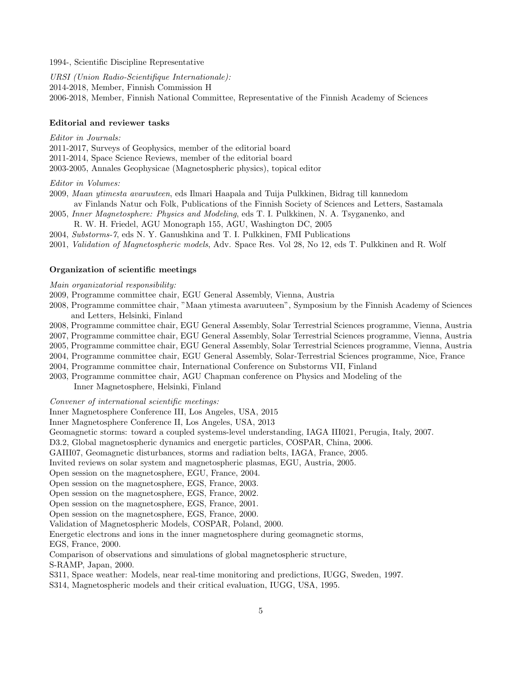1994-, Scientific Discipline Representative

URSI (Union Radio-Scientifique Internationale): 2014-2018, Member, Finnish Commission H 2006-2018, Member, Finnish National Committee, Representative of the Finnish Academy of Sciences

### Editorial and reviewer tasks

#### Editor in Journals:

2011-2017, Surveys of Geophysics, member of the editorial board 2011-2014, Space Science Reviews, member of the editorial board 2003-2005, Annales Geophysicae (Magnetospheric physics), topical editor

#### Editor in Volumes:

- 2009, Maan ytimesta avaruuteen, eds Ilmari Haapala and Tuija Pulkkinen, Bidrag till kannedom av Finlands Natur och Folk, Publications of the Finnish Society of Sciences and Letters, Sastamala
- 2005, Inner Magnetosphere: Physics and Modeling, eds T. I. Pulkkinen, N. A. Tsyganenko, and R. W. H. Friedel, AGU Monograph 155, AGU, Washington DC, 2005
- 2004, Substorms-7, eds N. Y. Ganushkina and T. I. Pulkkinen, FMI Publications
- 2001, Validation of Magnetospheric models, Adv. Space Res. Vol 28, No 12, eds T. Pulkkinen and R. Wolf

#### Organization of scientific meetings

#### Main organizatorial responsibility:

- 2009, Programme committee chair, EGU General Assembly, Vienna, Austria
- 2008, Programme committee chair, "Maan ytimesta avaruuteen", Symposium by the Finnish Academy of Sciences and Letters, Helsinki, Finland
- 2008, Programme committee chair, EGU General Assembly, Solar Terrestrial Sciences programme, Vienna, Austria
- 2007, Programme committee chair, EGU General Assembly, Solar Terrestrial Sciences programme, Vienna, Austria
- 2005, Programme committee chair, EGU General Assembly, Solar Terrestrial Sciences programme, Vienna, Austria
- 2004, Programme committee chair, EGU General Assembly, Solar-Terrestrial Sciences programme, Nice, France
- 2004, Programme committee chair, International Conference on Substorms VII, Finland
- 2003, Programme committee chair, AGU Chapman conference on Physics and Modeling of the

Inner Magnetosphere, Helsinki, Finland

Convener of international scientific meetings:

Inner Magnetosphere Conference III, Los Angeles, USA, 2015

Inner Magnetosphere Conference II, Los Angeles, USA, 2013

Geomagnetic storms: toward a coupled systems-level understanding, IAGA III021, Perugia, Italy, 2007.

D3.2, Global magnetospheric dynamics and energetic particles, COSPAR, China, 2006.

- GAIII07, Geomagnetic disturbances, storms and radiation belts, IAGA, France, 2005.
- Invited reviews on solar system and magnetospheric plasmas, EGU, Austria, 2005.
- Open session on the magnetosphere, EGU, France, 2004.
- Open session on the magnetosphere, EGS, France, 2003.
- Open session on the magnetosphere, EGS, France, 2002.

Open session on the magnetosphere, EGS, France, 2001.

Open session on the magnetosphere, EGS, France, 2000.

Validation of Magnetospheric Models, COSPAR, Poland, 2000.

Energetic electrons and ions in the inner magnetosphere during geomagnetic storms,

EGS, France, 2000.

Comparison of observations and simulations of global magnetospheric structure,

S-RAMP, Japan, 2000.

- S311, Space weather: Models, near real-time monitoring and predictions, IUGG, Sweden, 1997.
- S314, Magnetospheric models and their critical evaluation, IUGG, USA, 1995.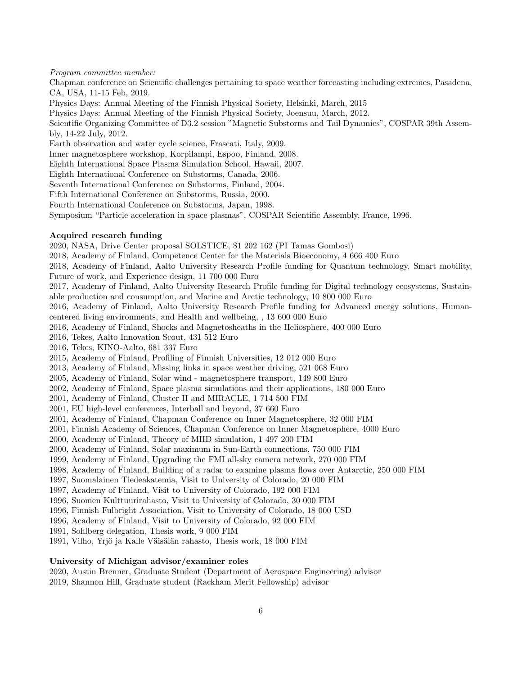#### Program committee member:

Chapman conference on Scientific challenges pertaining to space weather forecasting including extremes, Pasadena, CA, USA, 11-15 Feb, 2019. Physics Days: Annual Meeting of the Finnish Physical Society, Helsinki, March, 2015 Physics Days: Annual Meeting of the Finnish Physical Society, Joensuu, March, 2012. Scientific Organizing Committee of D3.2 session "Magnetic Substorms and Tail Dynamics", COSPAR 39th Assembly, 14-22 July, 2012. Earth observation and water cycle science, Frascati, Italy, 2009. Inner magnetosphere workshop, Korpilampi, Espoo, Finland, 2008. Eighth International Space Plasma Simulation School, Hawaii, 2007. Eighth International Conference on Substorms, Canada, 2006. Seventh International Conference on Substorms, Finland, 2004. Fifth International Conference on Substorms, Russia, 2000. Fourth International Conference on Substorms, Japan, 1998. Symposium "Particle acceleration in space plasmas", COSPAR Scientific Assembly, France, 1996. Acquired research funding 2020, NASA, Drive Center proposal SOLSTICE, \$1 202 162 (PI Tamas Gombosi) 2018, Academy of Finland, Competence Center for the Materials Bioeconomy, 4 666 400 Euro 2018, Academy of Finland, Aalto University Research Profile funding for Quantum technology, Smart mobility, Future of work, and Experience design, 11 700 000 Euro 2017, Academy of Finland, Aalto University Research Profile funding for Digital technology ecosystems, Sustainable production and consumption, and Marine and Arctic technology, 10 800 000 Euro 2016, Academy of Finland, Aalto University Research Profile funding for Advanced energy solutions, Humancentered living environments, and Health and wellbeing, , 13 600 000 Euro 2016, Academy of Finland, Shocks and Magnetosheaths in the Heliosphere, 400 000 Euro 2016, Tekes, Aalto Innovation Scout, 431 512 Euro 2016, Tekes, KINO-Aalto, 681 337 Euro 2015, Academy of Finland, Profiling of Finnish Universities, 12 012 000 Euro 2013, Academy of Finland, Missing links in space weather driving, 521 068 Euro 2005, Academy of Finland, Solar wind - magnetosphere transport, 149 800 Euro 2002, Academy of Finland, Space plasma simulations and their applications, 180 000 Euro 2001, Academy of Finland, Cluster II and MIRACLE, 1 714 500 FIM 2001, EU high-level conferences, Interball and beyond, 37 660 Euro 2001, Academy of Finland, Chapman Conference on Inner Magnetosphere, 32 000 FIM 2001, Finnish Academy of Sciences, Chapman Conference on Inner Magnetosphere, 4000 Euro 2000, Academy of Finland, Theory of MHD simulation, 1 497 200 FIM 2000, Academy of Finland, Solar maximum in Sun-Earth connections, 750 000 FIM 1999, Academy of Finland, Upgrading the FMI all-sky camera network, 270 000 FIM 1998, Academy of Finland, Building of a radar to examine plasma flows over Antarctic, 250 000 FIM 1997, Suomalainen Tiedeakatemia, Visit to University of Colorado, 20 000 FIM 1997, Academy of Finland, Visit to University of Colorado, 192 000 FIM 1996, Suomen Kulttuurirahasto, Visit to University of Colorado, 30 000 FIM 1996, Finnish Fulbright Association, Visit to University of Colorado, 18 000 USD 1996, Academy of Finland, Visit to University of Colorado, 92 000 FIM 1991, Sohlberg delegation, Thesis work, 9 000 FIM 1991, Vilho, Yrjö ja Kalle Väisälän rahasto, Thesis work, 18 000 FIM University of Michigan advisor/examiner roles 2020, Austin Brenner, Graduate Student (Department of Aerospace Engineering) advisor

2019, Shannon Hill, Graduate student (Rackham Merit Fellowship) advisor